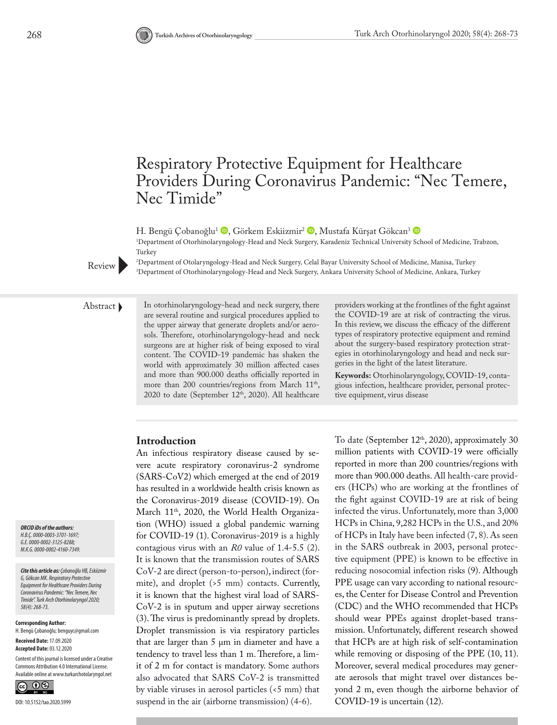# Respiratory Protective Equipment for Healthcare Providers During Coronavirus Pandemic: "Nec Temere, Nec Timide"

H. Bengü Çobanoğlu<sup>1</sup> <sup>D</sup>[,](http://orcid.org/0000-0002-3125-8288) Görkem Eskiizmir<sup>2</sup> D, Mustafa Kürşat Gökcan<sup>3</sup> D 1 Department of Otorhinolaryngology-Head and Neck Surgery, Karadeniz Technical University School of Medicine, Trabzon, Turkey



2 Department of Otolaryngology-Head and Neck Surgery, Celal Bayar University School of Medicine, Manisa, Turkey 3 Department of Otorhinolaryngology-Head and Neck Surgery, Ankara University School of Medicine, Ankara, Turkey

Abstract In otorhinolaryngology-head and neck surgery, there are several routine and surgical procedures applied to the upper airway that generate droplets and/or aerosols. Therefore, otorhinolaryngology-head and neck surgeons are at higher risk of being exposed to viral content. The COVID-19 pandemic has shaken the world with approximately 30 million affected cases and more than 900.000 deaths officially reported in more than 200 countries/regions from March 11<sup>th</sup>, 2020 to date (September 12th, 2020). All healthcare

providers working at the frontlines of the fight against the COVID-19 are at risk of contracting the virus. In this review, we discuss the efficacy of the different types of respiratory protective equipment and remind about the surgery-based respiratory protection strategies in otorhinolaryngology and head and neck surgeries in the light of the latest literature.

**Keywords:** Otorhinolaryngology, COVID-19, contagious infection, healthcare provider, personal protective equipment, virus disease

# **Introduction**

An infectious respiratory disease caused by severe acute respiratory coronavirus-2 syndrome (SARS-CoV2) which emerged at the end of 2019 has resulted in a worldwide health crisis known as the Coronavirus-2019 disease (COVID-19). On March 11<sup>th</sup>, 2020, the World Health Organization (WHO) issued a global pandemic warning for COVID-19 (1). Coronavirus-2019 is a highly contagious virus with an *R0* value of 1.4-5.5 (2). It is known that the transmission routes of SARS CoV-2 are direct (person-to-person), indirect (formite), and droplet (>5 mm) contacts. Currently, it is known that the highest viral load of SARS-CoV-2 is in sputum and upper airway secretions (3). The virus is predominantly spread by droplets. Droplet transmission is via respiratory particles that are larger than 5 μm in diameter and have a tendency to travel less than 1 m. Therefore, a limit of 2 m for contact is mandatory. Some authors also advocated that SARS CoV-2 is transmitted by viable viruses in aerosol particles (<5 mm) that suspend in the air (airborne transmission) (4-6).

To date (September 12<sup>th</sup>, 2020), approximately 30 million patients with COVID-19 were officially reported in more than 200 countries/regions with more than 900.000 deaths. All health-care providers (HCPs) who are working at the frontlines of the fight against COVID-19 are at risk of being infected the virus. Unfortunately, more than 3,000 HCPs in China, 9,282 HCPs in the U.S., and 20% of HCPs in Italy have been infected (7, 8). As seen in the SARS outbreak in 2003, personal protective equipment (PPE) is known to be effective in reducing nosocomial infection risks (9). Although PPE usage can vary according to national resources, the Center for Disease Control and Prevention (CDC) and the WHO recommended that HCPs should wear PPEs against droplet-based transmission. Unfortunately, different research showed that HCPs are at high risk of self-contamination while removing or disposing of the PPE  $(10, 11)$ . Moreover, several medical procedures may generate aerosols that might travel over distances beyond 2 m, even though the airborne behavior of COVID-19 is uncertain (12).

*ORCID iDs of the authors: H.B.Ç. 0000-0003-3701-1697; G.E. 0000-0002-3125-8288; M.K.G. 0000-0002-4160-7349.*

*Cite this article as: Çobanoğlu HB, Eskiizmir G, Gökcan MK. Respiratory Protective Equipment for Healthcare Providers During Coronavirus Pandemic: "Nec Temere, Nec Timide". Turk Arch Otorhinolaryngol 2020; 58(4): 268-73.*

**Corresponding Author:**  H. Bengü Çobanoğlu; benguyc@gmail.com

**Received Date:** 17.09.2020 **Accepted Date:** 03.12.2020

Content of this journal is licensed under a Creative Commons Attribution 4.0 International License. Available online at www.turkarchotolaryngol.net

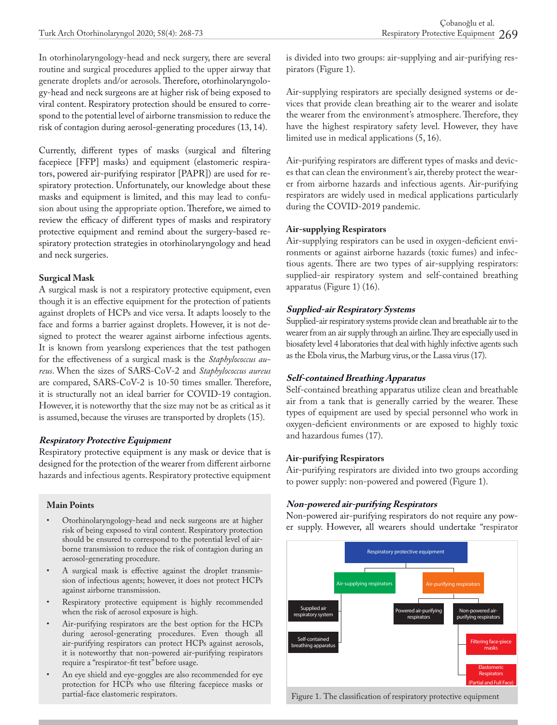In otorhinolaryngology-head and neck surgery, there are several routine and surgical procedures applied to the upper airway that generate droplets and/or aerosols. Therefore, otorhinolaryngology-head and neck surgeons are at higher risk of being exposed to viral content. Respiratory protection should be ensured to correspond to the potential level of airborne transmission to reduce the risk of contagion during aerosol-generating procedures (13, 14).

Currently, different types of masks (surgical and filtering facepiece [FFP] masks) and equipment (elastomeric respirators, powered air-purifying respirator [PAPR]) are used for respiratory protection. Unfortunately, our knowledge about these masks and equipment is limited, and this may lead to confusion about using the appropriate option. Therefore, we aimed to review the efficacy of different types of masks and respiratory protective equipment and remind about the surgery-based respiratory protection strategies in otorhinolaryngology and head and neck surgeries.

## **Surgical Mask**

A surgical mask is not a respiratory protective equipment, even though it is an effective equipment for the protection of patients against droplets of HCPs and vice versa. It adapts loosely to the face and forms a barrier against droplets. However, it is not designed to protect the wearer against airborne infectious agents. It is known from yearslong experiences that the test pathogen for the effectiveness of a surgical mask is the *Staphylococcus aureus*. When the sizes of SARS-CoV-2 and *Staphylococcus aureus* are compared, SARS-CoV-2 is 10-50 times smaller. Therefore, it is structurally not an ideal barrier for COVID-19 contagion. However, it is noteworthy that the size may not be as critical as it is assumed, because the viruses are transported by droplets (15).

#### **Respiratory Protective Equipment**

Respiratory protective equipment is any mask or device that is designed for the protection of the wearer from different airborne hazards and infectious agents. Respiratory protective equipment

#### **Main Points**

- Otorhinolaryngology-head and neck surgeons are at higher risk of being exposed to viral content. Respiratory protection should be ensured to correspond to the potential level of airborne transmission to reduce the risk of contagion during an aerosol-generating procedure.
- A surgical mask is effective against the droplet transmission of infectious agents; however, it does not protect HCPs against airborne transmission.
- Respiratory protective equipment is highly recommended when the risk of aerosol exposure is high.
- Air-purifying respirators are the best option for the HCPs during aerosol-generating procedures. Even though all air-purifying respirators can protect HCPs against aerosols, it is noteworthy that non-powered air-purifying respirators require a "respirator-fit test" before usage.
- An eye shield and eye-goggles are also recommended for eye protection for HCPs who use filtering facepiece masks or

is divided into two groups: air-supplying and air-purifying respirators (Figure 1).

Air-supplying respirators are specially designed systems or devices that provide clean breathing air to the wearer and isolate the wearer from the environment's atmosphere. Therefore, they have the highest respiratory safety level. However, they have limited use in medical applications (5, 16).

Air-purifying respirators are different types of masks and devices that can clean the environment's air, thereby protect the wearer from airborne hazards and infectious agents. Air-purifying respirators are widely used in medical applications particularly during the COVID-2019 pandemic.

#### **Air-supplying Respirators**

Air-supplying respirators can be used in oxygen-deficient environments or against airborne hazards (toxic fumes) and infectious agents. There are two types of air-supplying respirators: supplied-air respiratory system and self-contained breathing apparatus (Figure 1) (16).

## **Supplied-air Respiratory Systems**

Supplied-air respiratory systems provide clean and breathable air to the wearer from an air supply through an airline. They are especially used in biosafety level 4 laboratories that deal with highly infective agents such as the Ebola virus, the Marburg virus, or the Lassa virus (17).

## **Self-contained Breathing Apparatus**

Self-contained breathing apparatus utilize clean and breathable air from a tank that is generally carried by the wearer. These types of equipment are used by special personnel who work in oxygen-deficient environments or are exposed to highly toxic and hazardous fumes (17).

## **Air-purifying Respirators**

Air-purifying respirators are divided into two groups according to power supply: non-powered and powered (Figure 1).

# **Non-powered air-purifying Respirators**

Non-powered air-purifying respirators do not require any power supply. However, all wearers should undertake "respirator



Figure 1. The classification of respiratory protective equipment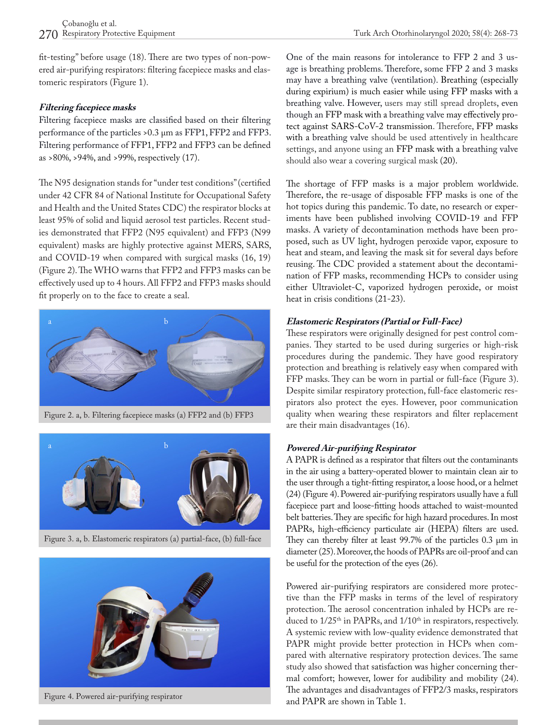fit-testing" before usage (18). There are two types of non-powered air-purifying respirators: filtering facepiece masks and elastomeric respirators (Figure 1).

#### **Filtering facepiece masks**

Filtering facepiece masks are classified based on their filtering performance of the particles >0.3 μm as FFP1, FFP2 and FFP3. Filtering performance of FFP1, FFP2 and FFP3 can be defined as >80%, >94%, and >99%, respectively (17).

The N95 designation stands for "under test conditions" (certified under 42 CFR 84 of National Institute for Occupational Safety and Health and the United States CDC) the respirator blocks at least 95% of solid and liquid aerosol test particles. Recent studies demonstrated that FFP2 (N95 equivalent) and FFP3 (N99 equivalent) masks are highly protective against MERS, SARS, and COVID-19 when compared with surgical masks (16, 19) (Figure 2). The WHO warns that FFP2 and FFP3 masks can be effectively used up to 4 hours. All FFP2 and FFP3 masks should fit properly on to the face to create a seal.



Figure 2. a, b. Filtering facepiece masks (a) FFP2 and (b) FFP3



Figure 3. a, b. Elastomeric respirators (a) partial-face, (b) full-face



Figure 4. Powered air-purifying respirator

One of the main reasons for intolerance to FFP 2 and 3 usage is breathing problems. Therefore, some FFP 2 and 3 masks may have a breathing valve (ventilation). Breathing (especially during expirium) is much easier while using FFP masks with a breathing valve. However, users may still spread droplets, even though an FFP mask with a breathing valve may effectively protect against SARS-CoV-2 transmission. Therefore, FFP masks with a breathing valve should be used attentively in healthcare settings, and anyone using an FFP mask with a breathing valve should also wear a covering surgical mask (20).

The shortage of FFP masks is a major problem worldwide. Therefore, the re-usage of disposable FFP masks is one of the hot topics during this pandemic. To date, no research or experiments have been published involving COVID-19 and FFP masks. A variety of decontamination methods have been proposed, such as UV light, hydrogen peroxide vapor, exposure to heat and steam, and leaving the mask sit for several days before reusing. The CDC provided a statement about the decontamination of FFP masks, recommending HCPs to consider using either Ultraviolet-C, vaporized hydrogen peroxide, or moist heat in crisis conditions (21-23).

#### **Elastomeric Respirators (Partial or Full-Face)**

These respirators were originally designed for pest control companies. They started to be used during surgeries or high-risk procedures during the pandemic. They have good respiratory protection and breathing is relatively easy when compared with FFP masks. They can be worn in partial or full-face (Figure 3). Despite similar respiratory protection, full-face elastomeric respirators also protect the eyes. However, poor communication quality when wearing these respirators and filter replacement are their main disadvantages (16).

## **Powered Air-purifying Respirator**

A PAPR is defined as a respirator that filters out the contaminants in the air using a battery-operated blower to maintain clean air to the user through a tight-fitting respirator, a loose hood, or a helmet (24) (Figure 4). Powered air-purifying respirators usually have a full facepiece part and loose-fitting hoods attached to waist-mounted belt batteries. They are specific for high hazard procedures. In most PAPRs, high-efficiency particulate air (HEPA) filters are used. They can thereby filter at least 99.7% of the particles 0.3 μm in diameter (25). Moreover, the hoods of PAPRs are oil-proof and can be useful for the protection of the eyes (26).

Powered air-purifying respirators are considered more protective than the FFP masks in terms of the level of respiratory protection. The aerosol concentration inhaled by HCPs are reduced to  $1/25$ <sup>th</sup> in PAPRs, and  $1/10$ <sup>th</sup> in respirators, respectively. A systemic review with low-quality evidence demonstrated that PAPR might provide better protection in HCPs when compared with alternative respiratory protection devices. The same study also showed that satisfaction was higher concerning thermal comfort; however, lower for audibility and mobility (24). The advantages and disadvantages of FFP2/3 masks, respirators and PAPR are shown in Table 1.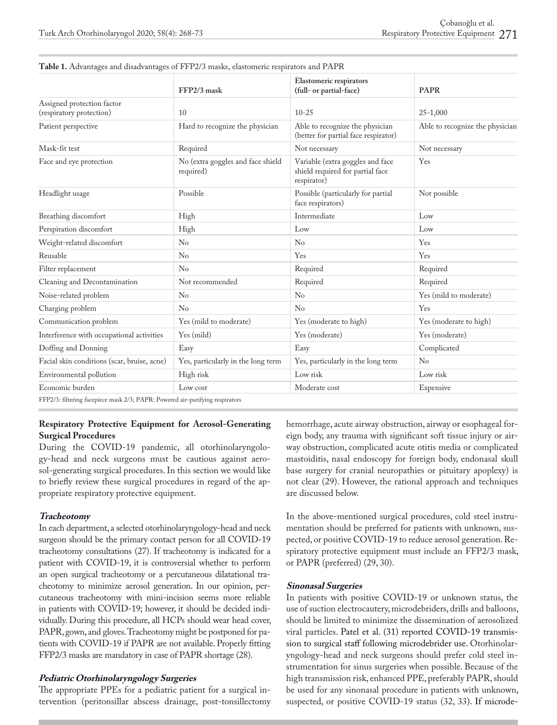|                                                        | FFP2/3 mask                                    | Elastomeric respirators<br>(full- or partial-face)                                  | <b>PAPR</b>                     |
|--------------------------------------------------------|------------------------------------------------|-------------------------------------------------------------------------------------|---------------------------------|
| Assigned protection factor<br>(respiratory protection) | 10                                             | $10 - 25$                                                                           | $25 - 1,000$                    |
| Patient perspective                                    | Hard to recognize the physician                | Able to recognize the physician<br>(better for partial face respirator)             | Able to recognize the physician |
| Mask-fit test                                          | Required                                       | Not necessary                                                                       | Not necessary                   |
| Face and eye protection                                | No (extra goggles and face shield<br>required) | Variable (extra goggles and face<br>shield required for partial face<br>respirator) | Yes                             |
| Headlight usage                                        | Possible                                       | Possible (particularly for partial<br>face respirators)                             | Not possible                    |
| Breathing discomfort                                   | High                                           | Intermediate                                                                        | Low                             |
| Perspiration discomfort                                | High                                           | Low                                                                                 | Low                             |
| Weight-related discomfort                              | $\rm No$                                       | $\rm No$                                                                            | Yes                             |
| Reusable                                               | No                                             | Yes                                                                                 | Yes                             |
| Filter replacement                                     | No                                             | Required                                                                            | Required                        |
| Cleaning and Decontamination                           | Not recommended                                | Required                                                                            | Required                        |
| Noise-related problem                                  | $\rm No$                                       | N <sub>o</sub>                                                                      | Yes (mild to moderate)          |
| Charging problem                                       | No                                             | No                                                                                  | Yes                             |
| Communication problem                                  | Yes (mild to moderate)                         | Yes (moderate to high)                                                              | Yes (moderate to high)          |
| Interference with occupational activities              | Yes (mild)                                     | Yes (moderate)                                                                      | Yes (moderate)                  |
| Doffing and Donning                                    | Easy                                           | Easy                                                                                | Complicated                     |
| Facial skin conditions (scar, bruise, acne)            | Yes, particularly in the long term             | Yes, particularly in the long term                                                  | No                              |
| Environmental pollution                                | High risk                                      | Low risk                                                                            | Low risk                        |
| Economic burden                                        | Low cost                                       | Moderate cost                                                                       | Expensive                       |

| Table 1. Advantages and disadvantages of FFP2/3 masks, elastomeric respirators and PAPR |  |
|-----------------------------------------------------------------------------------------|--|
|-----------------------------------------------------------------------------------------|--|

FFP2/3: filtering facepiece mask 2/3; PAPR: Powered air-purifying respirators

#### **Respiratory Protective Equipment for Aerosol-Generating Surgical Procedures**

During the COVID-19 pandemic, all otorhinolaryngology-head and neck surgeons must be cautious against aerosol-generating surgical procedures. In this section we would like to briefly review these surgical procedures in regard of the appropriate respiratory protective equipment.

#### **Tracheotomy**

In each department, a selected otorhinolaryngology-head and neck surgeon should be the primary contact person for all COVID-19 tracheotomy consultations (27). If tracheotomy is indicated for a patient with COVID-19, it is controversial whether to perform an open surgical tracheotomy or a percutaneous dilatational tracheotomy to minimize aerosol generation. In our opinion, percutaneous tracheotomy with mini-incision seems more reliable in patients with COVID-19; however, it should be decided individually. During this procedure, all HCPs should wear head cover, PAPR, gown, and gloves. Tracheotomy might be postponed for patients with COVID-19 if PAPR are not available. Properly fitting FFP2/3 masks are mandatory in case of PAPR shortage (28).

#### **Pediatric Otorhinolaryngology Surgeries**

The appropriate PPEs for a pediatric patient for a surgical intervention (peritonsillar abscess drainage, post-tonsillectomy hemorrhage, acute airway obstruction, airway or esophageal foreign body, any trauma with significant soft tissue injury or airway obstruction, complicated acute otitis media or complicated mastoiditis, nasal endoscopy for foreign body, endonasal skull base surgery for cranial neuropathies or pituitary apoplexy) is not clear (29). However, the rational approach and techniques are discussed below.

In the above-mentioned surgical procedures, cold steel instrumentation should be preferred for patients with unknown, suspected, or positive COVID-19 to reduce aerosol generation. Respiratory protective equipment must include an FFP2/3 mask, or PAPR (preferred) (29, 30).

#### **Sinonasal Surgeries**

In patients with positive COVID-19 or unknown status, the use of suction electrocautery, microdebriders, drills and balloons, should be limited to minimize the dissemination of aerosolized viral particles. Patel et al. (31) reported COVID-19 transmission to surgical staff following microdebrider use. Otorhinolaryngology-head and neck surgeons should prefer cold steel instrumentation for sinus surgeries when possible. Because of the high transmission risk, enhanced PPE, preferably PAPR, should be used for any sinonasal procedure in patients with unknown, suspected, or positive COVID-19 status (32, 33). If microde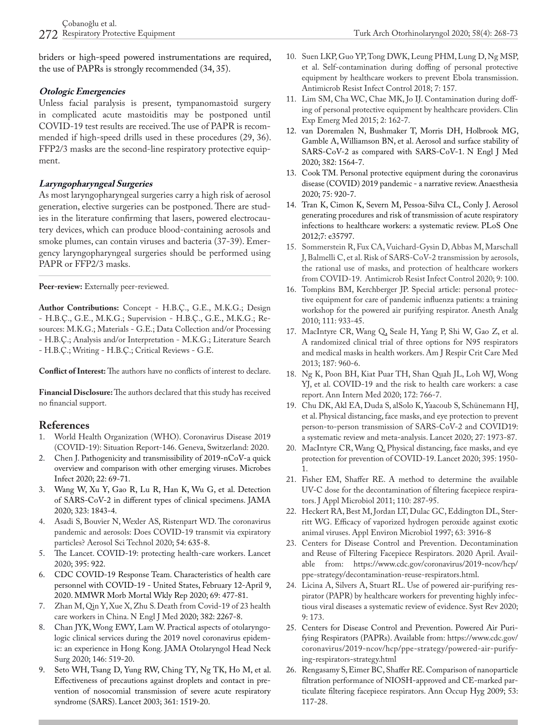briders or high-speed powered instrumentations are required, the use of PAPRs is strongly recommended (34, 35).

#### **Otologic Emergencies**

Unless facial paralysis is present, tympanomastoid surgery in complicated acute mastoiditis may be postponed until COVID-19 test results are received. The use of PAPR is recommended if high-speed drills used in these procedures (29, 36). FFP2/3 masks are the second-line respiratory protective equipment.

## **Laryngopharyngeal Surgeries**

As most laryngopharyngeal surgeries carry a high risk of aerosol generation, elective surgeries can be postponed. There are studies in the literature confirming that lasers, powered electrocautery devices, which can produce blood-containing aerosols and smoke plumes, can contain viruses and bacteria (37-39). Emergency laryngopharyngeal surgeries should be performed using PAPR or FFP2/3 masks.

**Peer-review:** Externally peer-reviewed.

**Author Contributions:** Concept - H.B.Ç., G.E., M.K.G.; Design - H.B.Ç., G.E., M.K.G.; Supervision - H.B.Ç., G.E., M.K.G.; Resources: M.K.G.; Materials - G.E.; Data Collection and/or Processing - H.B.Ç.; Analysis and/or Interpretation - M.K.G.; Literature Search - H.B.Ç.; Writing - H.B.Ç.; Critical Reviews - G.E.

**Conflict of Interest:** The authors have no conflicts of interest to declare.

**Financial Disclosure:** The authors declared that this study has received no financial support.

## **References**

- 1. World Health Organization (WHO). Coronavirus Disease 2019 (COVID-19): Situation Report-146. Geneva, Switzerland: 2020.
- 2. Chen J. Pathogenicity and transmissibility of 2019-nCoV-a quick overview and comparison with other emerging viruses. Microbes Infect 2020; 22: 69-71.
- 3. Wang W, Xu Y, Gao R, Lu R, Han K, Wu G, et al. Detection of SARS-CoV-2 in different types of clinical specimens. JAMA 2020; 323: 1843-4.
- 4. Asadi S, Bouvier N, Wexler AS, Ristenpart WD. The coronavirus pandemic and aerosols: Does COVID-19 transmit via expiratory particles? Aerosol Sci Technol 2020; 54: 635-8.
- 5. The Lancet. COVID-19: protecting health-care workers. Lancet 2020; 395: 922.
- 6. CDC COVID-19 Response Team. Characteristics of health care personnel with COVID-19 - United States, February 12-April 9, 2020. MMWR Morb Mortal Wkly Rep 2020; 69: 477-81.
- 7. Zhan M, Qin Y, Xue X, Zhu S. Death from Covid-19 of 23 health care workers in China. N Engl J Med 2020; 382: 2267-8.
- 8. Chan JYK, Wong EWY, Lam W. Practical aspects of otolaryngologic clinical services during the 2019 novel coronavirus epidemic: an experience in Hong Kong. JAMA Otolaryngol Head Neck Surg 2020; 146: 519-20.
- 9. Seto WH, Tsang D, Yung RW, Ching TY, Ng TK, Ho M, et al. Effectiveness of precautions against droplets and contact in prevention of nosocomial transmission of severe acute respiratory syndrome (SARS). Lancet 2003; 361: 1519-20.
- 10. Suen LKP, Guo YP, Tong DWK, Leung PHM, Lung D, Ng MSP, et al. Self-contamination during doffing of personal protective equipment by healthcare workers to prevent Ebola transmission. Antimicrob Resist Infect Control 2018; 7: 157.
- 11. Lim SM, Cha WC, Chae MK, Jo IJ. Contamination during doffing of personal protective equipment by healthcare providers. Clin Exp Emerg Med 2015; 2: 162-7.
- 12. van Doremalen N, Bushmaker T, Morris DH, Holbrook MG, Gamble A, Williamson BN, et al. Aerosol and surface stability of SARS-CoV-2 as compared with SARS-CoV-1. N Engl J Med 2020; 382: 1564-7.
- 13. Cook TM. Personal protective equipment during the coronavirus disease (COVID) 2019 pandemic - a narrative review. Anaesthesia 2020; 75: 920-7.
- 14. Tran K, Cimon K, Severn M, Pessoa-Silva CL, Conly J. Aerosol generating procedures and risk of transmission of acute respiratory infections to healthcare workers: a systematic review. PLoS One 2012;7: e35797.
- 15. Sommerstein R, Fux CA, Vuichard-Gysin D, Abbas M, Marschall J, Balmelli C, et al. Risk of SARS-CoV-2 transmission by aerosols, the rational use of masks, and protection of healthcare workers from COVID-19. Antimicrob Resist Infect Control 2020; 9: 100.
- 16. Tompkins BM, Kerchberger JP. Special article: personal protective equipment for care of pandemic influenza patients: a training workshop for the powered air purifying respirator. Anesth Analg 2010; 111: 933-45.
- 17. MacIntyre CR, Wang Q, Seale H, Yang P, Shi W, Gao Z, et al. A randomized clinical trial of three options for N95 respirators and medical masks in health workers. Am J Respir Crit Care Med 2013; 187: 960-6.
- 18. Ng K, Poon BH, Kiat Puar TH, Shan Quah JL, Loh WJ, Wong YJ, et al. COVID-19 and the risk to health care workers: a case report. Ann Intern Med 2020; 172: 766-7.
- 19. Chu DK, Akl EA, Duda S, alSolo K, Yaacoub S, Schünemann HJ, et al. Physical distancing, face masks, and eye protection to prevent person-to-person transmission of SARS-CoV-2 and COVID19: a systematic review and meta-analysis. Lancet 2020; 27: 1973-87.
- 20. MacIntyre CR, Wang Q. Physical distancing, face masks, and eye protection for prevention of COVID-19. Lancet 2020; 395: 1950- 1.
- 21. Fisher EM, Shaffer RE. A method to determine the available UV-C dose for the decontamination of filtering facepiece respirators. J Appl Microbiol 2011; 110: 287-95.
- 22. Heckert RA, Best M, Jordan LT, Dulac GC, Eddington DL, Sterritt WG. Efficacy of vaporized hydrogen peroxide against exotic animal viruses. Appl Environ Microbiol 1997; 63: 3916-8
- 23. Centers for Disease Control and Prevention. Decontamination and Reuse of Filtering Facepiece Respirators. 2020 April. Available from: https://www.cdc.gov/coronavirus/2019-ncov/hcp/ ppe-strategy/decontamination-reuse-respirators.html.
- 24. Licina A, Silvers A, Stuart RL. Use of powered air-purifying respirator (PAPR) by healthcare workers for preventing highly infectious viral diseases a systematic review of evidence. Syst Rev 2020; 9: 173.
- 25. Centers for Disease Control and Prevention. Powered Air Purifying Respirators (PAPRs). Available from: https://www.cdc.gov/ coronavirus/2019-ncov/hcp/ppe-strategy/powered-air-purifying-respirators-strategy.html
- 26. Rengasamy S, Eimer BC, Shaffer RE. Comparison of nanoparticle filtration performance of NIOSH-approved and CE-marked particulate filtering facepiece respirators. Ann Occup Hyg 2009; 53: 117-28.